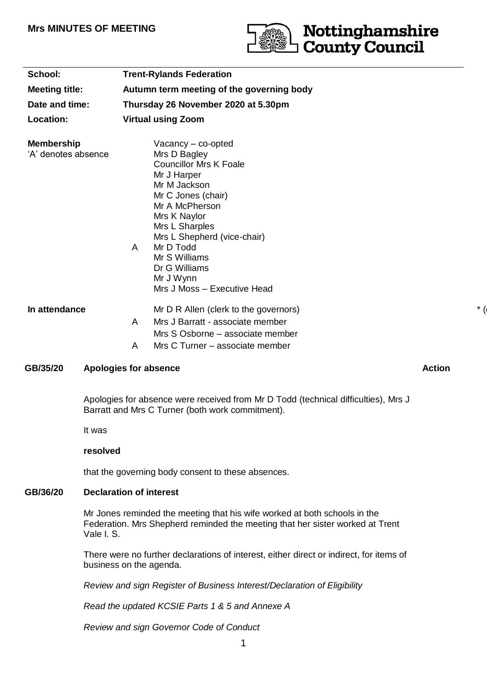# **Mrs MINUTES OF MEETING**



| School:                                              |                                                                                                                                        |                                                                                                               | <b>Trent-Rylands Federation</b>                    |  |  |                                          |  |        |                                                                                                                                                                                                                                                                                                          |  |
|------------------------------------------------------|----------------------------------------------------------------------------------------------------------------------------------------|---------------------------------------------------------------------------------------------------------------|----------------------------------------------------|--|--|------------------------------------------|--|--------|----------------------------------------------------------------------------------------------------------------------------------------------------------------------------------------------------------------------------------------------------------------------------------------------------------|--|
| <b>Meeting title:</b><br>Date and time:<br>Location: |                                                                                                                                        | Autumn term meeting of the governing body<br>Thursday 26 November 2020 at 5.30pm<br><b>Virtual using Zoom</b> |                                                    |  |  |                                          |  |        |                                                                                                                                                                                                                                                                                                          |  |
|                                                      |                                                                                                                                        |                                                                                                               |                                                    |  |  | <b>Membership</b><br>'A' denotes absence |  | A      | Vacancy $-$ co-opted<br>Mrs D Bagley<br><b>Councillor Mrs K Foale</b><br>Mr J Harper<br>Mr M Jackson<br>Mr C Jones (chair)<br>Mr A McPherson<br>Mrs K Naylor<br>Mrs L Sharples<br>Mrs L Shepherd (vice-chair)<br>Mr D Todd<br>Mr S Williams<br>Dr G Williams<br>Mr J Wynn<br>Mrs J Moss - Executive Head |  |
|                                                      |                                                                                                                                        |                                                                                                               |                                                    |  |  | In attendance                            |  | A<br>A | Mr D R Allen (clerk to the governors)<br>Mrs J Barratt - associate member<br>Mrs S Osborne - associate member<br>Mrs C Turner - associate member                                                                                                                                                         |  |
| GB/35/20                                             | <b>Apologies for absence</b>                                                                                                           |                                                                                                               | <b>Action</b>                                      |  |  |                                          |  |        |                                                                                                                                                                                                                                                                                                          |  |
|                                                      | Apologies for absence were received from Mr D Todd (technical difficulties), Mrs J<br>Barratt and Mrs C Turner (both work commitment). |                                                                                                               |                                                    |  |  |                                          |  |        |                                                                                                                                                                                                                                                                                                          |  |
|                                                      | It was                                                                                                                                 |                                                                                                               |                                                    |  |  |                                          |  |        |                                                                                                                                                                                                                                                                                                          |  |
|                                                      | resolved                                                                                                                               |                                                                                                               |                                                    |  |  |                                          |  |        |                                                                                                                                                                                                                                                                                                          |  |
|                                                      |                                                                                                                                        |                                                                                                               | that the governing body consent to these absences. |  |  |                                          |  |        |                                                                                                                                                                                                                                                                                                          |  |

# **GB/36/20 Declaration of interest**

Mr Jones reminded the meeting that his wife worked at both schools in the Federation. Mrs Shepherd reminded the meeting that her sister worked at Trent Vale I. S.

There were no further declarations of interest, either direct or indirect, for items of business on the agenda.

*Review and sign Register of Business Interest/Declaration of Eligibility*

*Read the updated KCSIE Parts 1 & 5 and Annexe A*

*Review and sign Governor Code of Conduct*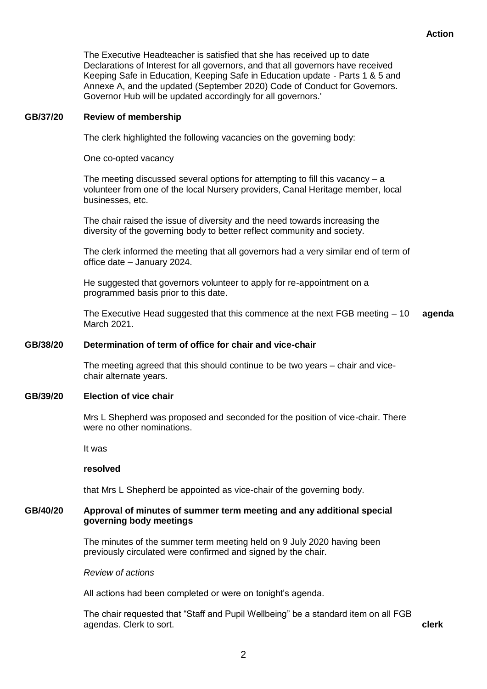The Executive Headteacher is satisfied that she has received up to date Declarations of Interest for all governors, and that all governors have received Keeping Safe in Education, Keeping Safe in Education update - Parts 1 & 5 and Annexe A, and the updated (September 2020) Code of Conduct for Governors. Governor Hub will be updated accordingly for all governors.'

## **GB/37/20 Review of membership**

The clerk highlighted the following vacancies on the governing body:

One co-opted vacancy

The meeting discussed several options for attempting to fill this vacancy  $-$  a volunteer from one of the local Nursery providers, Canal Heritage member, local businesses, etc.

The chair raised the issue of diversity and the need towards increasing the diversity of the governing body to better reflect community and society.

The clerk informed the meeting that all governors had a very similar end of term of office date – January 2024.

He suggested that governors volunteer to apply for re-appointment on a programmed basis prior to this date.

The Executive Head suggested that this commence at the next FGB meeting – 10 March 2021. **agenda**

## **GB/38/20 Determination of term of office for chair and vice-chair**

The meeting agreed that this should continue to be two years – chair and vicechair alternate years.

#### **GB/39/20 Election of vice chair**

Mrs L Shepherd was proposed and seconded for the position of vice-chair. There were no other nominations.

It was

#### **resolved**

that Mrs L Shepherd be appointed as vice-chair of the governing body.

## **GB/40/20 Approval of minutes of summer term meeting and any additional special governing body meetings**

The minutes of the summer term meeting held on 9 July 2020 having been previously circulated were confirmed and signed by the chair.

*Review of actions*

All actions had been completed or were on tonight's agenda.

The chair requested that "Staff and Pupil Wellbeing" be a standard item on all FGB agendas. Clerk to sort. **clerk**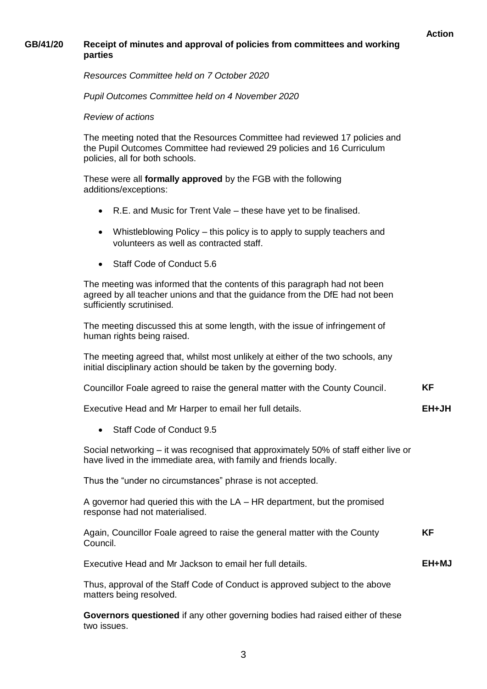#### **Action**

## **GB/41/20 Receipt of minutes and approval of policies from committees and working parties**

*Resources Committee held on 7 October 2020*

*Pupil Outcomes Committee held on 4 November 2020*

#### *Review of actions*

The meeting noted that the Resources Committee had reviewed 17 policies and the Pupil Outcomes Committee had reviewed 29 policies and 16 Curriculum policies, all for both schools.

These were all **formally approved** by the FGB with the following additions/exceptions:

- R.E. and Music for Trent Vale these have yet to be finalised.
- Whistleblowing Policy this policy is to apply to supply teachers and volunteers as well as contracted staff.
- Staff Code of Conduct 5.6

The meeting was informed that the contents of this paragraph had not been agreed by all teacher unions and that the guidance from the DfE had not been sufficiently scrutinised.

The meeting discussed this at some length, with the issue of infringement of human rights being raised.

The meeting agreed that, whilst most unlikely at either of the two schools, any initial disciplinary action should be taken by the governing body.

| Councillor Foale agreed to raise the general matter with the County Council. |  |
|------------------------------------------------------------------------------|--|
|------------------------------------------------------------------------------|--|

Executive Head and Mr Harper to email her full details. **EH+JH**

• Staff Code of Conduct 9.5

Social networking – it was recognised that approximately 50% of staff either live or have lived in the immediate area, with family and friends locally.

Thus the "under no circumstances" phrase is not accepted.

A governor had queried this with the LA – HR department, but the promised response had not materialised.

Again, Councillor Foale agreed to raise the general matter with the County Council. **KF**

Executive Head and Mr Jackson to email her full details. **EH+MJ**

Thus, approval of the Staff Code of Conduct is approved subject to the above matters being resolved.

**Governors questioned** if any other governing bodies had raised either of these two issues.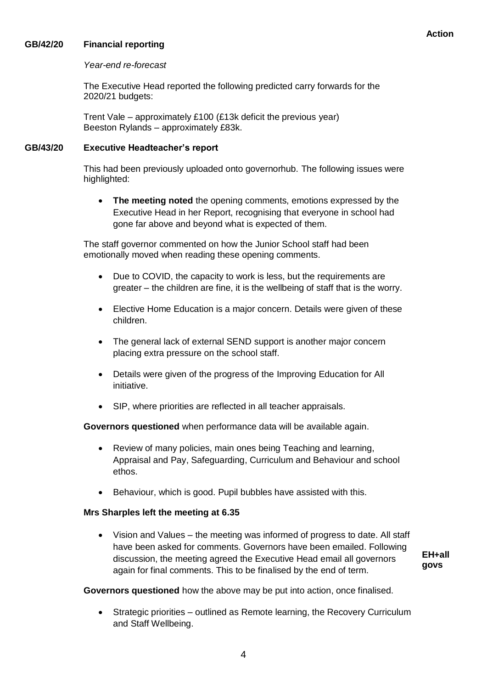## **GB/42/20 Financial reporting**

## *Year-end re-forecast*

The Executive Head reported the following predicted carry forwards for the 2020/21 budgets:

Trent Vale – approximately £100 (£13k deficit the previous year) Beeston Rylands – approximately £83k.

## **GB/43/20 Executive Headteacher's report**

This had been previously uploaded onto governorhub. The following issues were highlighted:

 **The meeting noted** the opening comments, emotions expressed by the Executive Head in her Report, recognising that everyone in school had gone far above and beyond what is expected of them.

The staff governor commented on how the Junior School staff had been emotionally moved when reading these opening comments.

- Due to COVID, the capacity to work is less, but the requirements are greater – the children are fine, it is the wellbeing of staff that is the worry.
- Elective Home Education is a major concern. Details were given of these children.
- The general lack of external SEND support is another major concern placing extra pressure on the school staff.
- Details were given of the progress of the Improving Education for All initiative.
- SIP, where priorities are reflected in all teacher appraisals.

**Governors questioned** when performance data will be available again.

- Review of many policies, main ones being Teaching and learning, Appraisal and Pay, Safeguarding, Curriculum and Behaviour and school ethos.
- Behaviour, which is good. Pupil bubbles have assisted with this.

## **Mrs Sharples left the meeting at 6.35**

 Vision and Values – the meeting was informed of progress to date. All staff have been asked for comments. Governors have been emailed. Following discussion, the meeting agreed the Executive Head email all governors again for final comments. This to be finalised by the end of term.

**EH+all govs**

**Governors questioned** how the above may be put into action, once finalised.

 Strategic priorities – outlined as Remote learning, the Recovery Curriculum and Staff Wellbeing.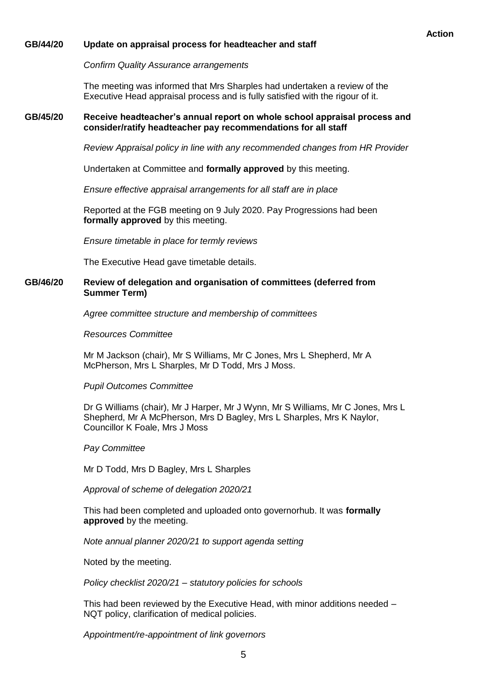#### **GB/44/20 Update on appraisal process for headteacher and staff**

*Confirm Quality Assurance arrangements*

The meeting was informed that Mrs Sharples had undertaken a review of the Executive Head appraisal process and is fully satisfied with the rigour of it.

## **GB/45/20 Receive headteacher's annual report on whole school appraisal process and consider/ratify headteacher pay recommendations for all staff**

*Review Appraisal policy in line with any recommended changes from HR Provider*

Undertaken at Committee and **formally approved** by this meeting.

*Ensure effective appraisal arrangements for all staff are in place*

Reported at the FGB meeting on 9 July 2020. Pay Progressions had been **formally approved** by this meeting.

*Ensure timetable in place for termly reviews*

The Executive Head gave timetable details.

#### **GB/46/20 Review of delegation and organisation of committees (deferred from Summer Term)**

*Agree committee structure and membership of committees*

*Resources Committee*

Mr M Jackson (chair), Mr S Williams, Mr C Jones, Mrs L Shepherd, Mr A McPherson, Mrs L Sharples, Mr D Todd, Mrs J Moss.

*Pupil Outcomes Committee*

Dr G Williams (chair), Mr J Harper, Mr J Wynn, Mr S Williams, Mr C Jones, Mrs L Shepherd, Mr A McPherson, Mrs D Bagley, Mrs L Sharples, Mrs K Naylor, Councillor K Foale, Mrs J Moss

*Pay Committee*

Mr D Todd, Mrs D Bagley, Mrs L Sharples

*Approval of scheme of delegation 2020/21*

This had been completed and uploaded onto governorhub. It was **formally approved** by the meeting.

*Note annual planner 2020/21 to support agenda setting*

Noted by the meeting.

*Policy checklist 2020/21 – statutory policies for schools*

This had been reviewed by the Executive Head, with minor additions needed – NQT policy, clarification of medical policies.

*Appointment/re-appointment of link governors*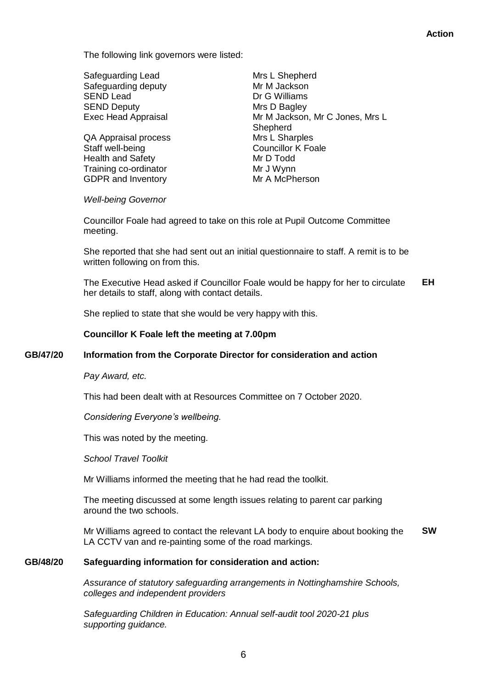The following link governors were listed:

Safeguarding Lead<br>
Safeguarding deputy<br>
Mr M Jackson Safeguarding deputy SEND Lead Dr G Williams SEND Deputy **Mrs** D Bagley

QA Appraisal process Mrs L Sharples Staff well-being **Councillor K** Foale Health and Safety Mr D Todd Training co-ordinator Mr J Wynn GDPR and Inventory **Mr A McPherson** 

Exec Head Appraisal Mr M Jackson, Mr C Jones, Mrs L **Shepherd** 

#### *Well-being Governor*

Councillor Foale had agreed to take on this role at Pupil Outcome Committee meeting.

She reported that she had sent out an initial questionnaire to staff. A remit is to be written following on from this.

The Executive Head asked if Councillor Foale would be happy for her to circulate her details to staff, along with contact details. **EH**

She replied to state that she would be very happy with this.

## **Councillor K Foale left the meeting at 7.00pm**

## **GB/47/20 Information from the Corporate Director for consideration and action**

*Pay Award, etc.*

This had been dealt with at Resources Committee on 7 October 2020.

*Considering Everyone's wellbeing.*

This was noted by the meeting.

*School Travel Toolkit*

Mr Williams informed the meeting that he had read the toolkit.

The meeting discussed at some length issues relating to parent car parking around the two schools.

Mr Williams agreed to contact the relevant LA body to enquire about booking the LA CCTV van and re-painting some of the road markings. **SW**

#### **GB/48/20 Safeguarding information for consideration and action:**

*Assurance of statutory safeguarding arrangements in Nottinghamshire Schools, colleges and independent providers* 

*Safeguarding Children in Education: Annual self-audit tool 2020-21 plus supporting guidance.*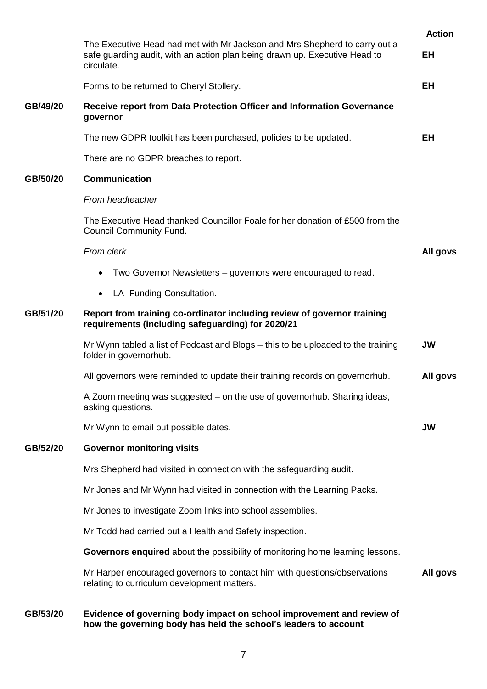|          |                                                                                                                                                                        | <b>Action</b> |  |  |  |  |
|----------|------------------------------------------------------------------------------------------------------------------------------------------------------------------------|---------------|--|--|--|--|
|          | The Executive Head had met with Mr Jackson and Mrs Shepherd to carry out a<br>safe guarding audit, with an action plan being drawn up. Executive Head to<br>circulate. | EH            |  |  |  |  |
|          | Forms to be returned to Cheryl Stollery.                                                                                                                               | <b>EH</b>     |  |  |  |  |
| GB/49/20 | Receive report from Data Protection Officer and Information Governance<br>governor                                                                                     |               |  |  |  |  |
|          | The new GDPR toolkit has been purchased, policies to be updated.                                                                                                       | <b>EH</b>     |  |  |  |  |
|          | There are no GDPR breaches to report.                                                                                                                                  |               |  |  |  |  |
| GB/50/20 | <b>Communication</b>                                                                                                                                                   |               |  |  |  |  |
|          | From headteacher                                                                                                                                                       |               |  |  |  |  |
|          | The Executive Head thanked Councillor Foale for her donation of £500 from the<br><b>Council Community Fund.</b>                                                        |               |  |  |  |  |
|          | From clerk                                                                                                                                                             |               |  |  |  |  |
|          | Two Governor Newsletters – governors were encouraged to read.                                                                                                          |               |  |  |  |  |
|          | LA Funding Consultation.<br>$\bullet$                                                                                                                                  |               |  |  |  |  |
| GB/51/20 | Report from training co-ordinator including review of governor training<br>requirements (including safeguarding) for 2020/21                                           |               |  |  |  |  |
|          | Mr Wynn tabled a list of Podcast and Blogs – this to be uploaded to the training<br>folder in governorhub.                                                             | <b>JW</b>     |  |  |  |  |
|          | All governors were reminded to update their training records on governorhub.                                                                                           | All govs      |  |  |  |  |
|          | A Zoom meeting was suggested - on the use of governorhub. Sharing ideas,<br>asking questions.                                                                          |               |  |  |  |  |
|          | Mr Wynn to email out possible dates.                                                                                                                                   | <b>JW</b>     |  |  |  |  |
| GB/52/20 | <b>Governor monitoring visits</b>                                                                                                                                      |               |  |  |  |  |
|          | Mrs Shepherd had visited in connection with the safeguarding audit.                                                                                                    |               |  |  |  |  |
|          | Mr Jones and Mr Wynn had visited in connection with the Learning Packs.                                                                                                |               |  |  |  |  |
|          | Mr Jones to investigate Zoom links into school assemblies.                                                                                                             |               |  |  |  |  |
|          | Mr Todd had carried out a Health and Safety inspection.                                                                                                                |               |  |  |  |  |
|          | Governors enquired about the possibility of monitoring home learning lessons.                                                                                          |               |  |  |  |  |
|          | Mr Harper encouraged governors to contact him with questions/observations<br>relating to curriculum development matters.                                               | All govs      |  |  |  |  |
| GB/53/20 | Evidence of governing body impact on school improvement and review of<br>how the governing body has held the school's leaders to account                               |               |  |  |  |  |

# 7